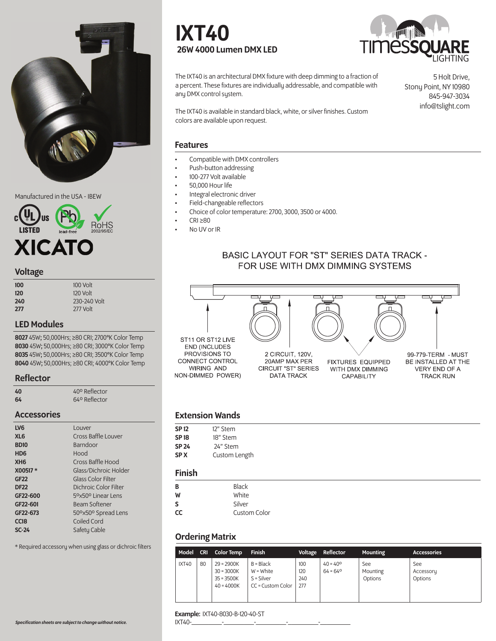

Manufactured in the USA - IBEW



#### Voltage

| 100 | 100 Volt     |
|-----|--------------|
| 120 | 120 Volt     |
| 240 | 230-240 Volt |
| 277 | $277$ Volt   |

# LED Modules

45W; 50,000Hrs; ≥80 CRI; 2700°K Color Temp 45W; 50,000Hrs; ≥80 CRI; 3000°K Color Temp 45W; 50,000Hrs; ≥80 CRI; 3500°K Color Temp 45W; 50,000Hrs; ≥80 CRI; 4000°K Color Temp

#### Reflector

| 40 | 40° Reflector |
|----|---------------|
| 64 | 64º Reflector |

#### Accessories

| LV <sub>6</sub>  | Louver                    |
|------------------|---------------------------|
| XL <sub>6</sub>  | Cross Baffle Louver       |
| <b>BD10</b>      | <b>Barndoor</b>           |
| H <sub>D6</sub>  | Hood                      |
| XH <sub>6</sub>  | Cross Baffle Hood         |
| X00517*          | Glass/Dichroic Holder     |
| <b>GF22</b>      | <b>Glass Color Filter</b> |
| <b>DF22</b>      | Dichroic Color Filter     |
| GF22-600         | 5°×50° Linear Lens        |
| GF22-601         | <b>Beam Softener</b>      |
| GF22-673         | 50°×50° Spread Lens       |
| CC <sub>18</sub> | Coiled Cord               |
| $SC-24$          | Safety Cable              |

\* Required accessory when using glass or dichroic filters

# IXT40 26W 4000 Lumen DMX LED



The IXT40 is an architectural DMX fixture with deep dimming to a fraction of a percent. These fixtures are individually addressable, and compatible with any DMX control system.

5 Holt Drive, Stony Point, NY 10980 845-947-3034 info@tslight.com

The IXT40 is available in standard black, white, or silver finishes. Custom colors are available upon request.

#### Features

- Compatible with DMX controllers
- Push-button addressing
- 100-277 Volt available
- 50,000 Hour life
- Integral electronic driver
- Field-changeable reflectors
- Choice of color temperature: 2700, 3000, 3500 or 4000.
- CRI ≥80
- No UV or IR

# **BASIC LAYOUT FOR "ST" SERIES DATA TRACK -**FOR USE WITH DMX DIMMING SYSTEMS



# Extension Wands

| SP 12       | 12" Stem      |
|-------------|---------------|
| <b>SP18</b> | 18" Stem      |
| SP 24       | 24" Stem      |
| SP X        | Custom Length |
|             |               |

# Finish

| B  | <b>Black</b> |
|----|--------------|
| W  | White        |
| S  | Silver       |
| CC | Custom Color |

#### Ordering Matrix

|       |    | Model CRI Color Temp                                         | <b>Finish</b>                                                   |                          | Voltage Reflector                      | <b>Mounting</b>            | <b>Accessories</b>          |
|-------|----|--------------------------------------------------------------|-----------------------------------------------------------------|--------------------------|----------------------------------------|----------------------------|-----------------------------|
| IXT40 | 80 | $29 = 2900K$<br>$30 = 3000K$<br>$35 = 3500K$<br>$40 = 4000K$ | $B = Black$<br>$W = White$<br>$S = Silver$<br>CC = Custom Color | 100<br>120<br>240<br>277 | $40 = 40^{\circ}$<br>$64 = 64^{\circ}$ | See<br>Mounting<br>Options | See<br>Accessory<br>Options |

#### Example: IXT40-8030-B-120-40-ST

IXT40-\_\_\_\_\_\_\_\_\_-\_\_\_\_\_\_\_\_\_-\_\_\_\_\_\_\_\_\_-\_\_\_\_\_\_\_\_\_-\_\_\_\_\_\_\_\_\_